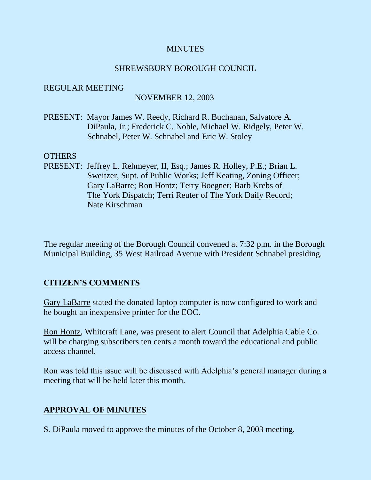# **MINUTES**

# SHREWSBURY BOROUGH COUNCIL

### REGULAR MEETING

# NOVEMBER 12, 2003

PRESENT: Mayor James W. Reedy, Richard R. Buchanan, Salvatore A. DiPaula, Jr.; Frederick C. Noble, Michael W. Ridgely, Peter W. Schnabel, Peter W. Schnabel and Eric W. Stoley

### OTHERS

PRESENT: Jeffrey L. Rehmeyer, II, Esq.; James R. Holley, P.E.; Brian L. Sweitzer, Supt. of Public Works; Jeff Keating, Zoning Officer; Gary LaBarre; Ron Hontz; Terry Boegner; Barb Krebs of The York Dispatch; Terri Reuter of The York Daily Record; Nate Kirschman

The regular meeting of the Borough Council convened at 7:32 p.m. in the Borough Municipal Building, 35 West Railroad Avenue with President Schnabel presiding.

# **CITIZEN'S COMMENTS**

Gary LaBarre stated the donated laptop computer is now configured to work and he bought an inexpensive printer for the EOC.

Ron Hontz, Whitcraft Lane, was present to alert Council that Adelphia Cable Co. will be charging subscribers ten cents a month toward the educational and public access channel.

Ron was told this issue will be discussed with Adelphia's general manager during a meeting that will be held later this month.

# **APPROVAL OF MINUTES**

S. DiPaula moved to approve the minutes of the October 8, 2003 meeting.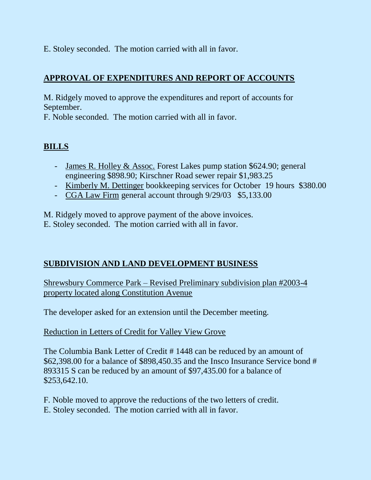E. Stoley seconded. The motion carried with all in favor.

# **APPROVAL OF EXPENDITURES AND REPORT OF ACCOUNTS**

M. Ridgely moved to approve the expenditures and report of accounts for September.

F. Noble seconded. The motion carried with all in favor.

# **BILLS**

- James R. Holley & Assoc. Forest Lakes pump station \$624.90; general engineering \$898.90; Kirschner Road sewer repair \$1,983.25
- Kimberly M. Dettinger bookkeeping services for October 19 hours \$380.00
- CGA Law Firm general account through 9/29/03 \$5,133.00

M. Ridgely moved to approve payment of the above invoices.

E. Stoley seconded. The motion carried with all in favor.

# **SUBDIVISION AND LAND DEVELOPMENT BUSINESS**

Shrewsbury Commerce Park – Revised Preliminary subdivision plan #2003-4 property located along Constitution Avenue

The developer asked for an extension until the December meeting.

# Reduction in Letters of Credit for Valley View Grove

The Columbia Bank Letter of Credit # 1448 can be reduced by an amount of \$62,398.00 for a balance of \$898,450.35 and the Insco Insurance Service bond # 893315 S can be reduced by an amount of \$97,435.00 for a balance of \$253,642.10.

F. Noble moved to approve the reductions of the two letters of credit. E. Stoley seconded. The motion carried with all in favor.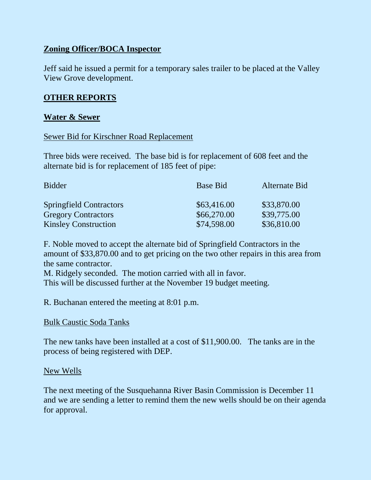# **Zoning Officer/BOCA Inspector**

Jeff said he issued a permit for a temporary sales trailer to be placed at the Valley View Grove development.

# **OTHER REPORTS**

### **Water & Sewer**

#### Sewer Bid for Kirschner Road Replacement

Three bids were received. The base bid is for replacement of 608 feet and the alternate bid is for replacement of 185 feet of pipe:

| <b>Bidder</b>                  | <b>Base Bid</b> | <b>Alternate Bid</b> |
|--------------------------------|-----------------|----------------------|
| <b>Springfield Contractors</b> | \$63,416.00     | \$33,870.00          |
| <b>Gregory Contractors</b>     | \$66,270.00     | \$39,775.00          |
| <b>Kinsley Construction</b>    | \$74,598.00     | \$36,810.00          |

F. Noble moved to accept the alternate bid of Springfield Contractors in the amount of \$33,870.00 and to get pricing on the two other repairs in this area from the same contractor.

M. Ridgely seconded. The motion carried with all in favor.

This will be discussed further at the November 19 budget meeting.

R. Buchanan entered the meeting at 8:01 p.m.

#### Bulk Caustic Soda Tanks

The new tanks have been installed at a cost of \$11,900.00. The tanks are in the process of being registered with DEP.

#### New Wells

The next meeting of the Susquehanna River Basin Commission is December 11 and we are sending a letter to remind them the new wells should be on their agenda for approval.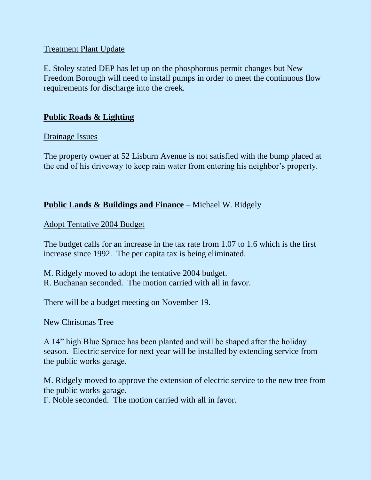# Treatment Plant Update

E. Stoley stated DEP has let up on the phosphorous permit changes but New Freedom Borough will need to install pumps in order to meet the continuous flow requirements for discharge into the creek.

# **Public Roads & Lighting**

### Drainage Issues

The property owner at 52 Lisburn Avenue is not satisfied with the bump placed at the end of his driveway to keep rain water from entering his neighbor's property.

# **Public Lands & Buildings and Finance** – Michael W. Ridgely

### Adopt Tentative 2004 Budget

The budget calls for an increase in the tax rate from 1.07 to 1.6 which is the first increase since 1992. The per capita tax is being eliminated.

M. Ridgely moved to adopt the tentative 2004 budget. R. Buchanan seconded. The motion carried with all in favor.

There will be a budget meeting on November 19.

#### New Christmas Tree

A 14" high Blue Spruce has been planted and will be shaped after the holiday season. Electric service for next year will be installed by extending service from the public works garage.

M. Ridgely moved to approve the extension of electric service to the new tree from the public works garage.

F. Noble seconded. The motion carried with all in favor.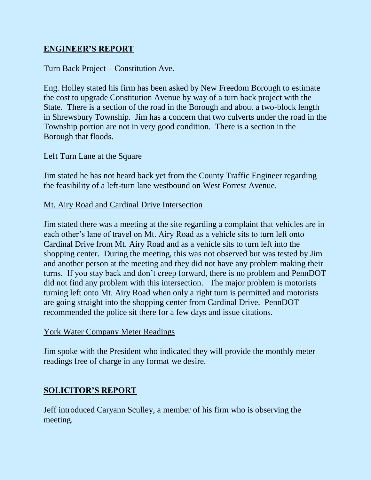# **ENGINEER'S REPORT**

# Turn Back Project – Constitution Ave.

Eng. Holley stated his firm has been asked by New Freedom Borough to estimate the cost to upgrade Constitution Avenue by way of a turn back project with the State. There is a section of the road in the Borough and about a two-block length in Shrewsbury Township. Jim has a concern that two culverts under the road in the Township portion are not in very good condition. There is a section in the Borough that floods.

# Left Turn Lane at the Square

Jim stated he has not heard back yet from the County Traffic Engineer regarding the feasibility of a left-turn lane westbound on West Forrest Avenue.

# Mt. Airy Road and Cardinal Drive Intersection

Jim stated there was a meeting at the site regarding a complaint that vehicles are in each other's lane of travel on Mt. Airy Road as a vehicle sits to turn left onto Cardinal Drive from Mt. Airy Road and as a vehicle sits to turn left into the shopping center. During the meeting, this was not observed but was tested by Jim and another person at the meeting and they did not have any problem making their turns. If you stay back and don't creep forward, there is no problem and PennDOT did not find any problem with this intersection. The major problem is motorists turning left onto Mt. Airy Road when only a right turn is permitted and motorists are going straight into the shopping center from Cardinal Drive. PennDOT recommended the police sit there for a few days and issue citations.

# York Water Company Meter Readings

Jim spoke with the President who indicated they will provide the monthly meter readings free of charge in any format we desire.

# **SOLICITOR'S REPORT**

Jeff introduced Caryann Sculley, a member of his firm who is observing the meeting.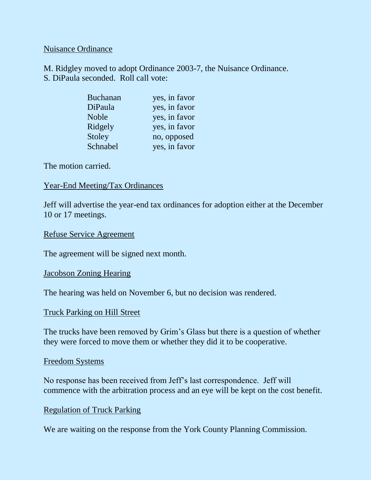#### Nuisance Ordinance

M. Ridgley moved to adopt Ordinance 2003-7, the Nuisance Ordinance. S. DiPaula seconded. Roll call vote:

| <b>Buchanan</b> | yes, in favor |
|-----------------|---------------|
| DiPaula         | yes, in favor |
| <b>Noble</b>    | yes, in favor |
| Ridgely         | yes, in favor |
| Stoley          | no, opposed   |
| Schnabel        | yes, in favor |

The motion carried.

### Year-End Meeting/Tax Ordinances

Jeff will advertise the year-end tax ordinances for adoption either at the December 10 or 17 meetings.

#### Refuse Service Agreement

The agreement will be signed next month.

#### Jacobson Zoning Hearing

The hearing was held on November 6, but no decision was rendered.

#### Truck Parking on Hill Street

The trucks have been removed by Grim's Glass but there is a question of whether they were forced to move them or whether they did it to be cooperative.

#### Freedom Systems

No response has been received from Jeff's last correspondence. Jeff will commence with the arbitration process and an eye will be kept on the cost benefit.

# Regulation of Truck Parking

We are waiting on the response from the York County Planning Commission.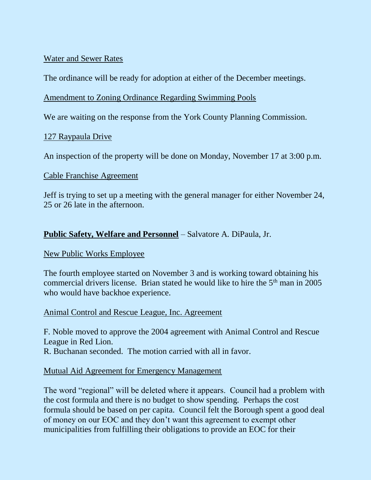# Water and Sewer Rates

The ordinance will be ready for adoption at either of the December meetings.

# Amendment to Zoning Ordinance Regarding Swimming Pools

We are waiting on the response from the York County Planning Commission.

# 127 Raypaula Drive

An inspection of the property will be done on Monday, November 17 at 3:00 p.m.

# Cable Franchise Agreement

Jeff is trying to set up a meeting with the general manager for either November 24, 25 or 26 late in the afternoon.

# **Public Safety, Welfare and Personnel** – Salvatore A. DiPaula, Jr.

# New Public Works Employee

The fourth employee started on November 3 and is working toward obtaining his commercial drivers license. Brian stated he would like to hire the  $5<sup>th</sup>$  man in 2005 who would have backhoe experience.

# Animal Control and Rescue League, Inc. Agreement

F. Noble moved to approve the 2004 agreement with Animal Control and Rescue League in Red Lion. R. Buchanan seconded. The motion carried with all in favor.

# Mutual Aid Agreement for Emergency Management

The word "regional" will be deleted where it appears. Council had a problem with the cost formula and there is no budget to show spending. Perhaps the cost formula should be based on per capita. Council felt the Borough spent a good deal of money on our EOC and they don't want this agreement to exempt other municipalities from fulfilling their obligations to provide an EOC for their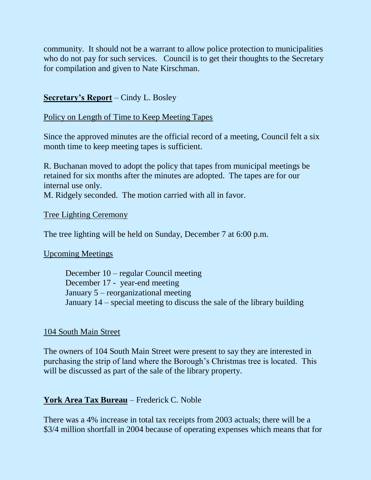community. It should not be a warrant to allow police protection to municipalities who do not pay for such services. Council is to get their thoughts to the Secretary for compilation and given to Nate Kirschman.

# **Secretary's Report** – Cindy L. Bosley

### Policy on Length of Time to Keep Meeting Tapes

Since the approved minutes are the official record of a meeting, Council felt a six month time to keep meeting tapes is sufficient.

R. Buchanan moved to adopt the policy that tapes from municipal meetings be retained for six months after the minutes are adopted. The tapes are for our internal use only.

M. Ridgely seconded. The motion carried with all in favor.

#### Tree Lighting Ceremony

The tree lighting will be held on Sunday, December 7 at 6:00 p.m.

#### Upcoming Meetings

December 10 – regular Council meeting December 17 - year-end meeting January 5 – reorganizational meeting January 14 – special meeting to discuss the sale of the library building

#### 104 South Main Street

The owners of 104 South Main Street were present to say they are interested in purchasing the strip of land where the Borough's Christmas tree is located. This will be discussed as part of the sale of the library property.

# **York Area Tax Bureau** – Frederick C. Noble

There was a 4% increase in total tax receipts from 2003 actuals; there will be a \$3/4 million shortfall in 2004 because of operating expenses which means that for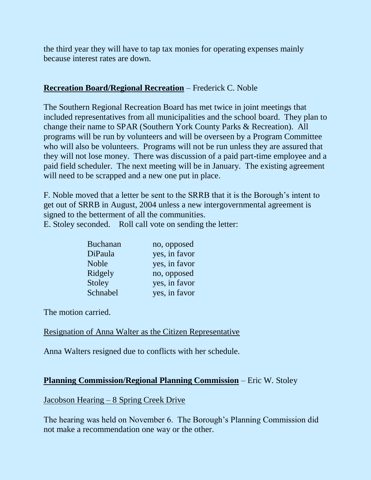the third year they will have to tap tax monies for operating expenses mainly because interest rates are down.

# **Recreation Board/Regional Recreation** – Frederick C. Noble

The Southern Regional Recreation Board has met twice in joint meetings that included representatives from all municipalities and the school board. They plan to change their name to SPAR (Southern York County Parks & Recreation). All programs will be run by volunteers and will be overseen by a Program Committee who will also be volunteers. Programs will not be run unless they are assured that they will not lose money. There was discussion of a paid part-time employee and a paid field scheduler. The next meeting will be in January. The existing agreement will need to be scrapped and a new one put in place.

F. Noble moved that a letter be sent to the SRRB that it is the Borough's intent to get out of SRRB in August, 2004 unless a new intergovernmental agreement is signed to the betterment of all the communities.

E. Stoley seconded. Roll call vote on sending the letter:

| <b>Buchanan</b> | no, opposed   |
|-----------------|---------------|
| DiPaula         | yes, in favor |
| <b>Noble</b>    | yes, in favor |
| Ridgely         | no, opposed   |
| <b>Stoley</b>   | yes, in favor |
| Schnabel        | yes, in favor |

The motion carried.

# Resignation of Anna Walter as the Citizen Representative

Anna Walters resigned due to conflicts with her schedule.

# **Planning Commission/Regional Planning Commission** – Eric W. Stoley

# Jacobson Hearing – 8 Spring Creek Drive

The hearing was held on November 6. The Borough's Planning Commission did not make a recommendation one way or the other.